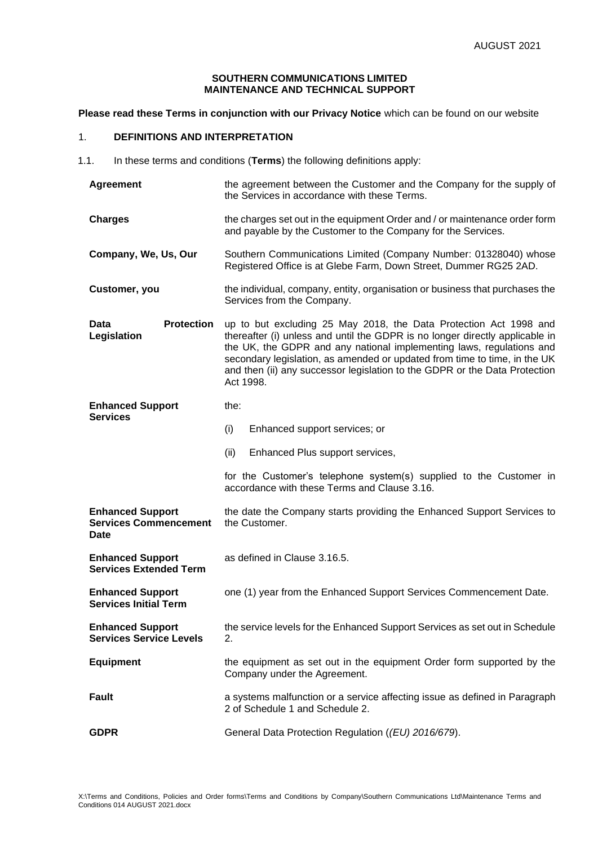## **SOUTHERN COMMUNICATIONS LIMITED MAINTENANCE AND TECHNICAL SUPPORT**

**Please read these Terms in conjunction with our Privacy Notice** which can be found on our website

# 1. **DEFINITIONS AND INTERPRETATION**

1.1. In these terms and conditions (**Terms**) the following definitions apply:

| <b>Agreement</b>                                                | the agreement between the Customer and the Company for the supply of<br>the Services in accordance with these Terms.                                                                                                                                                                                                                                                                              |  |  |
|-----------------------------------------------------------------|---------------------------------------------------------------------------------------------------------------------------------------------------------------------------------------------------------------------------------------------------------------------------------------------------------------------------------------------------------------------------------------------------|--|--|
| <b>Charges</b>                                                  | the charges set out in the equipment Order and / or maintenance order form<br>and payable by the Customer to the Company for the Services.                                                                                                                                                                                                                                                        |  |  |
| Company, We, Us, Our                                            | Southern Communications Limited (Company Number: 01328040) whose<br>Registered Office is at Glebe Farm, Down Street, Dummer RG25 2AD.                                                                                                                                                                                                                                                             |  |  |
| Customer, you                                                   | the individual, company, entity, organisation or business that purchases the<br>Services from the Company.                                                                                                                                                                                                                                                                                        |  |  |
| <b>Protection</b><br>Data<br>Legislation                        | up to but excluding 25 May 2018, the Data Protection Act 1998 and<br>thereafter (i) unless and until the GDPR is no longer directly applicable in<br>the UK, the GDPR and any national implementing laws, regulations and<br>secondary legislation, as amended or updated from time to time, in the UK<br>and then (ii) any successor legislation to the GDPR or the Data Protection<br>Act 1998. |  |  |
| <b>Enhanced Support</b><br><b>Services</b>                      | the:                                                                                                                                                                                                                                                                                                                                                                                              |  |  |
|                                                                 | (i)<br>Enhanced support services; or                                                                                                                                                                                                                                                                                                                                                              |  |  |
|                                                                 | (ii)<br>Enhanced Plus support services,                                                                                                                                                                                                                                                                                                                                                           |  |  |
|                                                                 |                                                                                                                                                                                                                                                                                                                                                                                                   |  |  |
|                                                                 | for the Customer's telephone system(s) supplied to the Customer in<br>accordance with these Terms and Clause 3.16.                                                                                                                                                                                                                                                                                |  |  |
| <b>Enhanced Support</b><br><b>Services Commencement</b><br>Date | the date the Company starts providing the Enhanced Support Services to<br>the Customer.                                                                                                                                                                                                                                                                                                           |  |  |
| <b>Enhanced Support</b><br><b>Services Extended Term</b>        | as defined in Clause 3.16.5.                                                                                                                                                                                                                                                                                                                                                                      |  |  |
| <b>Enhanced Support</b><br><b>Services Initial Term</b>         | one (1) year from the Enhanced Support Services Commencement Date.                                                                                                                                                                                                                                                                                                                                |  |  |
| <b>Enhanced Support</b><br><b>Services Service Levels</b>       | the service levels for the Enhanced Support Services as set out in Schedule<br>2.                                                                                                                                                                                                                                                                                                                 |  |  |
| <b>Equipment</b>                                                | the equipment as set out in the equipment Order form supported by the<br>Company under the Agreement.                                                                                                                                                                                                                                                                                             |  |  |
| Fault                                                           | a systems malfunction or a service affecting issue as defined in Paragraph<br>2 of Schedule 1 and Schedule 2.                                                                                                                                                                                                                                                                                     |  |  |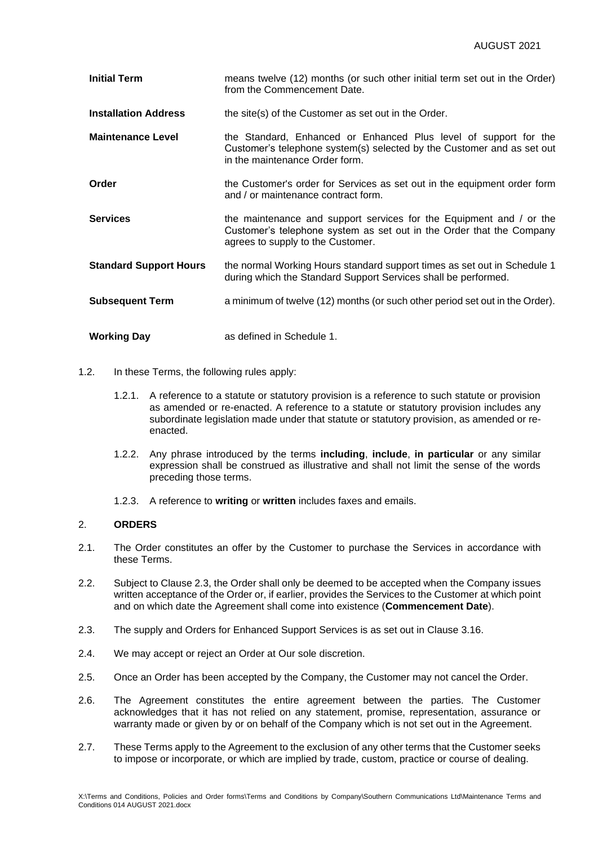| <b>Initial Term</b>           | means twelve (12) months (or such other initial term set out in the Order)<br>from the Commencement Date.                                                                        |  |
|-------------------------------|----------------------------------------------------------------------------------------------------------------------------------------------------------------------------------|--|
| <b>Installation Address</b>   | the site(s) of the Customer as set out in the Order.                                                                                                                             |  |
| <b>Maintenance Level</b>      | the Standard, Enhanced or Enhanced Plus level of support for the<br>Customer's telephone system(s) selected by the Customer and as set out<br>in the maintenance Order form.     |  |
| Order                         | the Customer's order for Services as set out in the equipment order form<br>and / or maintenance contract form.                                                                  |  |
| <b>Services</b>               | the maintenance and support services for the Equipment and / or the<br>Customer's telephone system as set out in the Order that the Company<br>agrees to supply to the Customer. |  |
| <b>Standard Support Hours</b> | the normal Working Hours standard support times as set out in Schedule 1<br>during which the Standard Support Services shall be performed.                                       |  |
| <b>Subsequent Term</b>        | a minimum of twelve (12) months (or such other period set out in the Order).                                                                                                     |  |
| <b>Working Day</b>            | as defined in Schedule 1.                                                                                                                                                        |  |

- 1.2. In these Terms, the following rules apply:
	- 1.2.1. A reference to a statute or statutory provision is a reference to such statute or provision as amended or re-enacted. A reference to a statute or statutory provision includes any subordinate legislation made under that statute or statutory provision, as amended or reenacted.
	- 1.2.2. Any phrase introduced by the terms **including**, **include**, **in particular** or any similar expression shall be construed as illustrative and shall not limit the sense of the words preceding those terms.
	- 1.2.3. A reference to **writing** or **written** includes faxes and emails.

## 2. **ORDERS**

- 2.1. The Order constitutes an offer by the Customer to purchase the Services in accordance with these Terms.
- 2.2. Subject to Clause 2.3, the Order shall only be deemed to be accepted when the Company issues written acceptance of the Order or, if earlier, provides the Services to the Customer at which point and on which date the Agreement shall come into existence (**Commencement Date**).
- 2.3. The supply and Orders for Enhanced Support Services is as set out in Clause 3.16.
- 2.4. We may accept or reject an Order at Our sole discretion.
- 2.5. Once an Order has been accepted by the Company, the Customer may not cancel the Order.
- 2.6. The Agreement constitutes the entire agreement between the parties. The Customer acknowledges that it has not relied on any statement, promise, representation, assurance or warranty made or given by or on behalf of the Company which is not set out in the Agreement.
- 2.7. These Terms apply to the Agreement to the exclusion of any other terms that the Customer seeks to impose or incorporate, or which are implied by trade, custom, practice or course of dealing.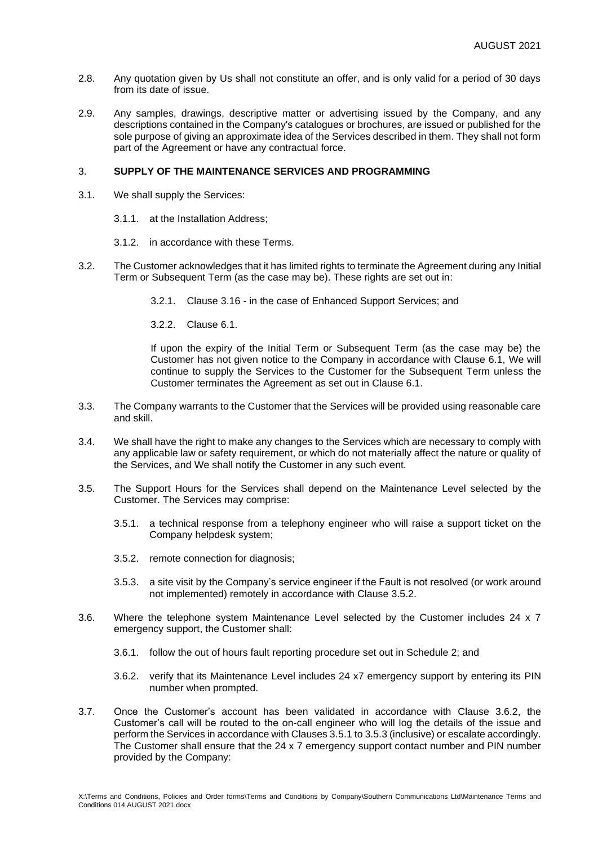- 2.8. Any quotation given by Us shall not constitute an offer, and is only valid for a period of 30 days from its date of issue.
- 2.9. Any samples, drawings, descriptive matter or advertising issued by the Company, and any descriptions contained in the Company's catalogues or brochures, are issued or published for the sole purpose of giving an approximate idea of the Services described in them. They shall not form part of the Agreement or have any contractual force.

## 3. **SUPPLY OF THE MAINTENANCE SERVICES AND PROGRAMMING**

- 3.1. We shall supply the Services:
	- 3.1.1. at the Installation Address;
	- 3.1.2. in accordance with these Terms.
- 3.2. The Customer acknowledges that it has limited rights to terminate the Agreement during any Initial Term or Subsequent Term (as the case may be). These rights are set out in:
	- 3.2.1. Clause 3.16 in the case of Enhanced Support Services; and
	- 3.2.2. Clause 6.1.

If upon the expiry of the Initial Term or Subsequent Term (as the case may be) the Customer has not given notice to the Company in accordance with Clause 6.1, We will continue to supply the Services to the Customer for the Subsequent Term unless the Customer terminates the Agreement as set out in Clause 6.1.

- 3.3. The Company warrants to the Customer that the Services will be provided using reasonable care and skill.
- 3.4. We shall have the right to make any changes to the Services which are necessary to comply with any applicable law or safety requirement, or which do not materially affect the nature or quality of the Services, and We shall notify the Customer in any such event.
- 3.5. The Support Hours for the Services shall depend on the Maintenance Level selected by the Customer. The Services may comprise:
	- 3.5.1. a technical response from a telephony engineer who will raise a support ticket on the Company helpdesk system;
	- 3.5.2. remote connection for diagnosis;
	- 3.5.3. a site visit by the Company's service engineer if the Fault is not resolved (or work around not implemented) remotely in accordance with Clause 3.5.2.
- 3.6. Where the telephone system Maintenance Level selected by the Customer includes 24 x 7 emergency support, the Customer shall:
	- 3.6.1. follow the out of hours fault reporting procedure set out in Schedule 2; and
	- 3.6.2. verify that its Maintenance Level includes 24 x7 emergency support by entering its PIN number when prompted.
- 3.7. Once the Customer's account has been validated in accordance with Clause 3.6.2, the Customer's call will be routed to the on-call engineer who will log the details of the issue and perform the Services in accordance with Clauses 3.5.1 to 3.5.3 (inclusive) or escalate accordingly. The Customer shall ensure that the 24 x 7 emergency support contact number and PIN number provided by the Company: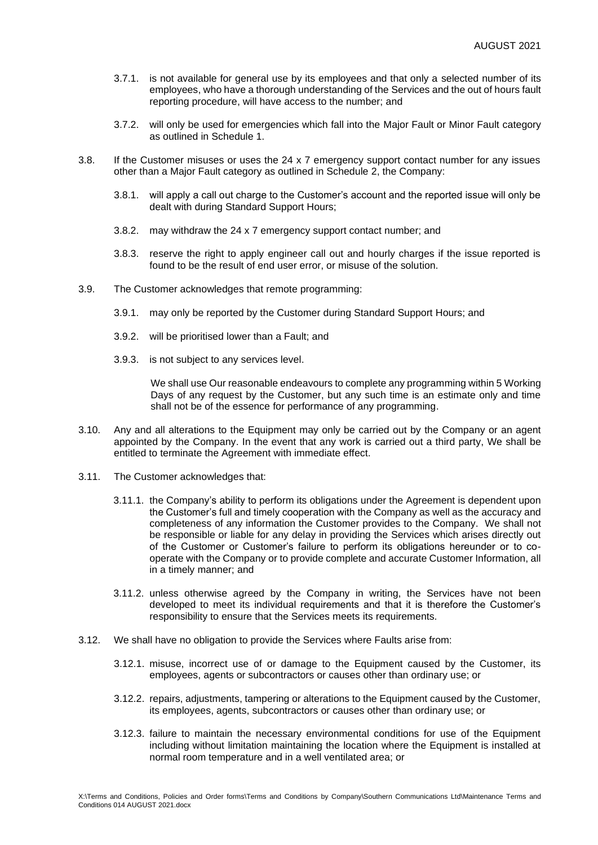- 3.7.1. is not available for general use by its employees and that only a selected number of its employees, who have a thorough understanding of the Services and the out of hours fault reporting procedure, will have access to the number; and
- 3.7.2. will only be used for emergencies which fall into the Major Fault or Minor Fault category as outlined in Schedule 1.
- 3.8. If the Customer misuses or uses the 24 x 7 emergency support contact number for any issues other than a Major Fault category as outlined in Schedule 2, the Company:
	- 3.8.1. will apply a call out charge to the Customer's account and the reported issue will only be dealt with during Standard Support Hours;
	- 3.8.2. may withdraw the 24 x 7 emergency support contact number; and
	- 3.8.3. reserve the right to apply engineer call out and hourly charges if the issue reported is found to be the result of end user error, or misuse of the solution.
- 3.9. The Customer acknowledges that remote programming:
	- 3.9.1. may only be reported by the Customer during Standard Support Hours; and
	- 3.9.2. will be prioritised lower than a Fault; and
	- 3.9.3. is not subject to any services level.

We shall use Our reasonable endeavours to complete any programming within 5 Working Days of any request by the Customer, but any such time is an estimate only and time shall not be of the essence for performance of any programming.

- 3.10. Any and all alterations to the Equipment may only be carried out by the Company or an agent appointed by the Company. In the event that any work is carried out a third party, We shall be entitled to terminate the Agreement with immediate effect.
- 3.11. The Customer acknowledges that:
	- 3.11.1. the Company's ability to perform its obligations under the Agreement is dependent upon the Customer's full and timely cooperation with the Company as well as the accuracy and completeness of any information the Customer provides to the Company. We shall not be responsible or liable for any delay in providing the Services which arises directly out of the Customer or Customer's failure to perform its obligations hereunder or to cooperate with the Company or to provide complete and accurate Customer Information, all in a timely manner; and
	- 3.11.2. unless otherwise agreed by the Company in writing, the Services have not been developed to meet its individual requirements and that it is therefore the Customer's responsibility to ensure that the Services meets its requirements.
- 3.12. We shall have no obligation to provide the Services where Faults arise from:
	- 3.12.1. misuse, incorrect use of or damage to the Equipment caused by the Customer, its employees, agents or subcontractors or causes other than ordinary use; or
	- 3.12.2. repairs, adjustments, tampering or alterations to the Equipment caused by the Customer, its employees, agents, subcontractors or causes other than ordinary use; or
	- 3.12.3. failure to maintain the necessary environmental conditions for use of the Equipment including without limitation maintaining the location where the Equipment is installed at normal room temperature and in a well ventilated area; or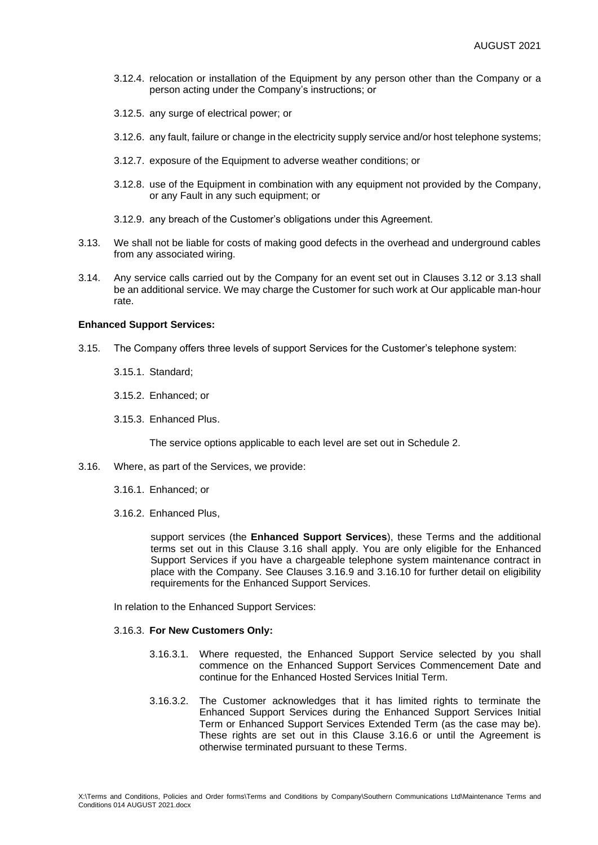- 3.12.4. relocation or installation of the Equipment by any person other than the Company or a person acting under the Company's instructions; or
- 3.12.5. any surge of electrical power; or
- 3.12.6. any fault, failure or change in the electricity supply service and/or host telephone systems;
- 3.12.7. exposure of the Equipment to adverse weather conditions; or
- 3.12.8. use of the Equipment in combination with any equipment not provided by the Company, or any Fault in any such equipment; or
- 3.12.9. any breach of the Customer's obligations under this Agreement.
- 3.13. We shall not be liable for costs of making good defects in the overhead and underground cables from any associated wiring.
- 3.14. Any service calls carried out by the Company for an event set out in Clauses 3.12 or 3.13 shall be an additional service. We may charge the Customer for such work at Our applicable man-hour rate.

## **Enhanced Support Services:**

- 3.15. The Company offers three levels of support Services for the Customer's telephone system:
	- 3.15.1. Standard;
	- 3.15.2. Enhanced; or
	- 3.15.3. Enhanced Plus.

The service options applicable to each level are set out in Schedule 2.

- 3.16. Where, as part of the Services, we provide:
	- 3.16.1. Enhanced; or
	- 3.16.2. Enhanced Plus,

support services (the **Enhanced Support Services**), these Terms and the additional terms set out in this Clause 3.16 shall apply. You are only eligible for the Enhanced Support Services if you have a chargeable telephone system maintenance contract in place with the Company. See Clauses 3.16.9 and 3.16.10 for further detail on eligibility requirements for the Enhanced Support Services.

In relation to the Enhanced Support Services:

### 3.16.3. **For New Customers Only:**

- 3.16.3.1. Where requested, the Enhanced Support Service selected by you shall commence on the Enhanced Support Services Commencement Date and continue for the Enhanced Hosted Services Initial Term.
- 3.16.3.2. The Customer acknowledges that it has limited rights to terminate the Enhanced Support Services during the Enhanced Support Services Initial Term or Enhanced Support Services Extended Term (as the case may be). These rights are set out in this Clause 3.16.6 or until the Agreement is otherwise terminated pursuant to these Terms.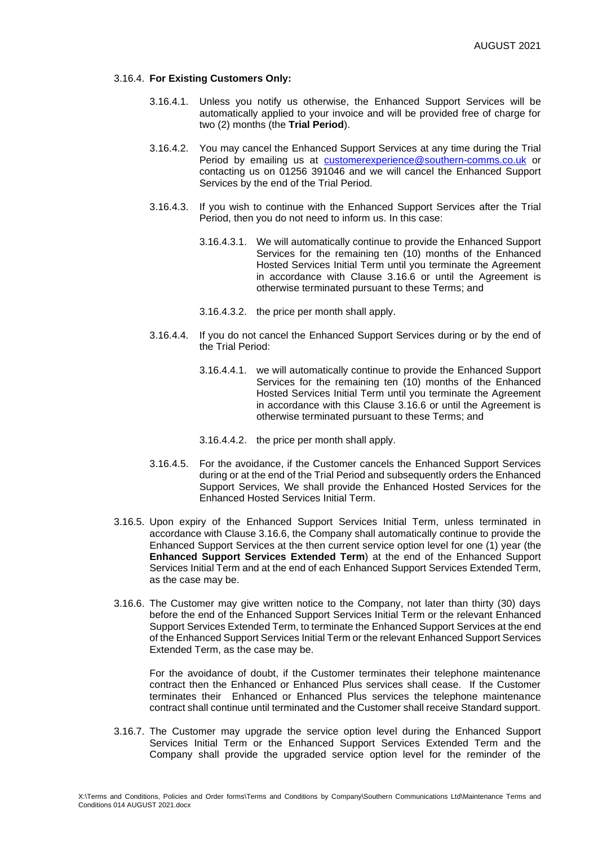### 3.16.4. **For Existing Customers Only:**

- 3.16.4.1. Unless you notify us otherwise, the Enhanced Support Services will be automatically applied to your invoice and will be provided free of charge for two (2) months (the **Trial Period**).
- 3.16.4.2. You may cancel the Enhanced Support Services at any time during the Trial Period by emailing us at [customerexperience@southern-comms.co.uk](mailto:customerexperience@southern-comms.co.uk) or contacting us on 01256 391046 and we will cancel the Enhanced Support Services by the end of the Trial Period.
- 3.16.4.3. If you wish to continue with the Enhanced Support Services after the Trial Period, then you do not need to inform us. In this case:
	- 3.16.4.3.1. We will automatically continue to provide the Enhanced Support Services for the remaining ten (10) months of the Enhanced Hosted Services Initial Term until you terminate the Agreement in accordance with Clause 3.16.6 or until the Agreement is otherwise terminated pursuant to these Terms; and
	- 3.16.4.3.2. the price per month shall apply.
- 3.16.4.4. If you do not cancel the Enhanced Support Services during or by the end of the Trial Period:
	- 3.16.4.4.1. we will automatically continue to provide the Enhanced Support Services for the remaining ten (10) months of the Enhanced Hosted Services Initial Term until you terminate the Agreement in accordance with this Clause 3.16.6 or until the Agreement is otherwise terminated pursuant to these Terms; and
	- 3.16.4.4.2. the price per month shall apply.
- 3.16.4.5. For the avoidance, if the Customer cancels the Enhanced Support Services during or at the end of the Trial Period and subsequently orders the Enhanced Support Services, We shall provide the Enhanced Hosted Services for the Enhanced Hosted Services Initial Term.
- 3.16.5. Upon expiry of the Enhanced Support Services Initial Term, unless terminated in accordance with Clause 3.16.6, the Company shall automatically continue to provide the Enhanced Support Services at the then current service option level for one (1) year (the **Enhanced Support Services Extended Term**) at the end of the Enhanced Support Services Initial Term and at the end of each Enhanced Support Services Extended Term, as the case may be.
- 3.16.6. The Customer may give written notice to the Company, not later than thirty (30) days before the end of the Enhanced Support Services Initial Term or the relevant Enhanced Support Services Extended Term, to terminate the Enhanced Support Services at the end of the Enhanced Support Services Initial Term or the relevant Enhanced Support Services Extended Term, as the case may be.

For the avoidance of doubt, if the Customer terminates their telephone maintenance contract then the Enhanced or Enhanced Plus services shall cease. If the Customer terminates their Enhanced or Enhanced Plus services the telephone maintenance contract shall continue until terminated and the Customer shall receive Standard support.

3.16.7. The Customer may upgrade the service option level during the Enhanced Support Services Initial Term or the Enhanced Support Services Extended Term and the Company shall provide the upgraded service option level for the reminder of the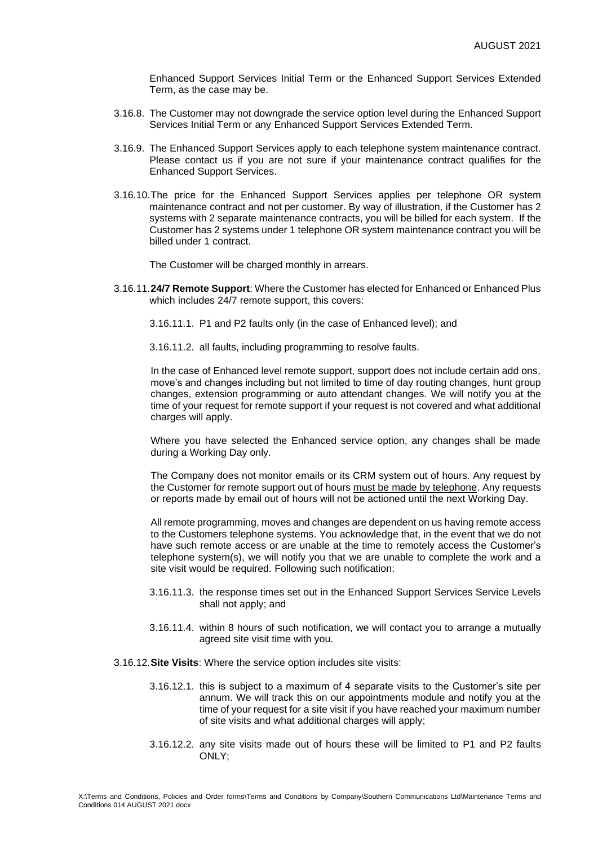Enhanced Support Services Initial Term or the Enhanced Support Services Extended Term, as the case may be.

- 3.16.8. The Customer may not downgrade the service option level during the Enhanced Support Services Initial Term or any Enhanced Support Services Extended Term.
- 3.16.9. The Enhanced Support Services apply to each telephone system maintenance contract. Please contact us if you are not sure if your maintenance contract qualifies for the Enhanced Support Services.
- 3.16.10.The price for the Enhanced Support Services applies per telephone OR system maintenance contract and not per customer. By way of illustration, if the Customer has 2 systems with 2 separate maintenance contracts, you will be billed for each system. If the Customer has 2 systems under 1 telephone OR system maintenance contract you will be billed under 1 contract.

The Customer will be charged monthly in arrears.

3.16.11.**24/7 Remote Support**: Where the Customer has elected for Enhanced or Enhanced Plus which includes 24/7 remote support, this covers:

3.16.11.1. P1 and P2 faults only (in the case of Enhanced level); and

3.16.11.2. all faults, including programming to resolve faults.

In the case of Enhanced level remote support, support does not include certain add ons, move's and changes including but not limited to time of day routing changes, hunt group changes, extension programming or auto attendant changes. We will notify you at the time of your request for remote support if your request is not covered and what additional charges will apply.

Where you have selected the Enhanced service option, any changes shall be made during a Working Day only.

The Company does not monitor emails or its CRM system out of hours. Any request by the Customer for remote support out of hours must be made by telephone. Any requests or reports made by email out of hours will not be actioned until the next Working Day.

All remote programming, moves and changes are dependent on us having remote access to the Customers telephone systems. You acknowledge that, in the event that we do not have such remote access or are unable at the time to remotely access the Customer's telephone system(s), we will notify you that we are unable to complete the work and a site visit would be required. Following such notification:

- 3.16.11.3. the response times set out in the Enhanced Support Services Service Levels shall not apply; and
- 3.16.11.4. within 8 hours of such notification, we will contact you to arrange a mutually agreed site visit time with you.

3.16.12.**Site Visits**: Where the service option includes site visits:

- 3.16.12.1. this is subject to a maximum of 4 separate visits to the Customer's site per annum. We will track this on our appointments module and notify you at the time of your request for a site visit if you have reached your maximum number of site visits and what additional charges will apply;
- 3.16.12.2. any site visits made out of hours these will be limited to P1 and P2 faults ONLY;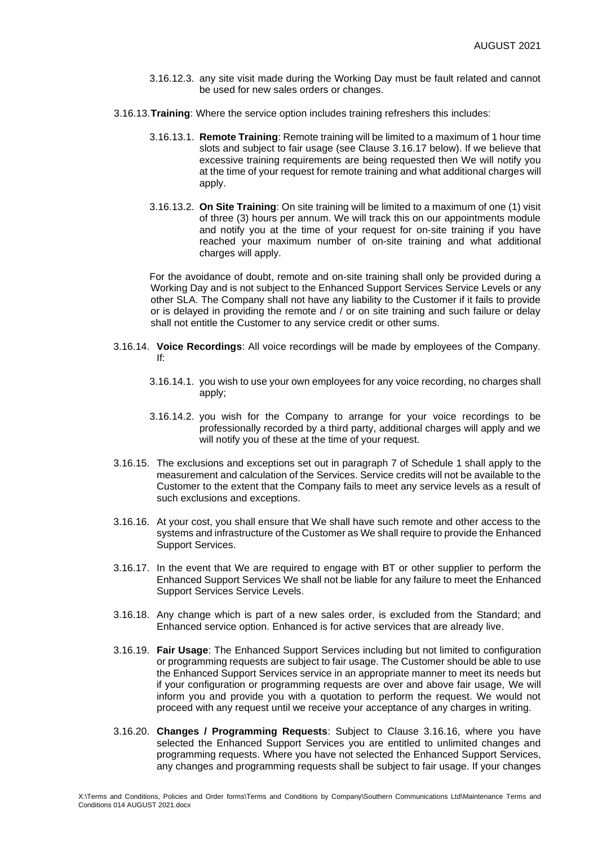- 3.16.12.3. any site visit made during the Working Day must be fault related and cannot be used for new sales orders or changes.
- 3.16.13.**Training**: Where the service option includes training refreshers this includes:
	- 3.16.13.1. **Remote Training**: Remote training will be limited to a maximum of 1 hour time slots and subject to fair usage (see Clause 3.16.17 below). If we believe that excessive training requirements are being requested then We will notify you at the time of your request for remote training and what additional charges will apply.
	- 3.16.13.2. **On Site Training**: On site training will be limited to a maximum of one (1) visit of three (3) hours per annum. We will track this on our appointments module and notify you at the time of your request for on-site training if you have reached your maximum number of on-site training and what additional charges will apply.

For the avoidance of doubt, remote and on-site training shall only be provided during a Working Day and is not subject to the Enhanced Support Services Service Levels or any other SLA. The Company shall not have any liability to the Customer if it fails to provide or is delayed in providing the remote and / or on site training and such failure or delay shall not entitle the Customer to any service credit or other sums.

- 3.16.14. **Voice Recordings**: All voice recordings will be made by employees of the Company. If:
	- 3.16.14.1. you wish to use your own employees for any voice recording, no charges shall apply;
	- 3.16.14.2. you wish for the Company to arrange for your voice recordings to be professionally recorded by a third party, additional charges will apply and we will notify you of these at the time of your request.
- 3.16.15. The exclusions and exceptions set out in paragraph 7 of Schedule 1 shall apply to the measurement and calculation of the Services. Service credits will not be available to the Customer to the extent that the Company fails to meet any service levels as a result of such exclusions and exceptions.
- 3.16.16. At your cost, you shall ensure that We shall have such remote and other access to the systems and infrastructure of the Customer as We shall require to provide the Enhanced Support Services.
- 3.16.17. In the event that We are required to engage with BT or other supplier to perform the Enhanced Support Services We shall not be liable for any failure to meet the Enhanced Support Services Service Levels.
- 3.16.18. Any change which is part of a new sales order, is excluded from the Standard; and Enhanced service option. Enhanced is for active services that are already live.
- 3.16.19. **Fair Usage**: The Enhanced Support Services including but not limited to configuration or programming requests are subject to fair usage. The Customer should be able to use the Enhanced Support Services service in an appropriate manner to meet its needs but if your configuration or programming requests are over and above fair usage, We will inform you and provide you with a quotation to perform the request. We would not proceed with any request until we receive your acceptance of any charges in writing.
- 3.16.20. **Changes / Programming Requests**: Subject to Clause 3.16.16, where you have selected the Enhanced Support Services you are entitled to unlimited changes and programming requests. Where you have not selected the Enhanced Support Services, any changes and programming requests shall be subject to fair usage. If your changes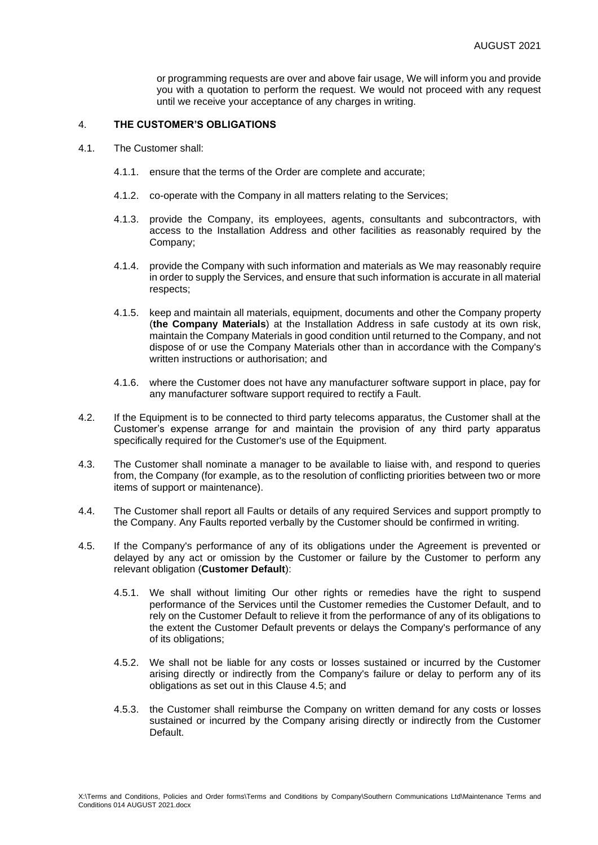or programming requests are over and above fair usage, We will inform you and provide you with a quotation to perform the request. We would not proceed with any request until we receive your acceptance of any charges in writing.

## 4. **THE CUSTOMER'S OBLIGATIONS**

- 4.1. The Customer shall:
	- 4.1.1. ensure that the terms of the Order are complete and accurate;
	- 4.1.2. co-operate with the Company in all matters relating to the Services;
	- 4.1.3. provide the Company, its employees, agents, consultants and subcontractors, with access to the Installation Address and other facilities as reasonably required by the Company;
	- 4.1.4. provide the Company with such information and materials as We may reasonably require in order to supply the Services, and ensure that such information is accurate in all material respects;
	- 4.1.5. keep and maintain all materials, equipment, documents and other the Company property (**the Company Materials**) at the Installation Address in safe custody at its own risk, maintain the Company Materials in good condition until returned to the Company, and not dispose of or use the Company Materials other than in accordance with the Company's written instructions or authorisation; and
	- 4.1.6. where the Customer does not have any manufacturer software support in place, pay for any manufacturer software support required to rectify a Fault.
- 4.2. If the Equipment is to be connected to third party telecoms apparatus, the Customer shall at the Customer's expense arrange for and maintain the provision of any third party apparatus specifically required for the Customer's use of the Equipment.
- 4.3. The Customer shall nominate a manager to be available to liaise with, and respond to queries from, the Company (for example, as to the resolution of conflicting priorities between two or more items of support or maintenance).
- 4.4. The Customer shall report all Faults or details of any required Services and support promptly to the Company. Any Faults reported verbally by the Customer should be confirmed in writing.
- <span id="page-8-0"></span>4.5. If the Company's performance of any of its obligations under the Agreement is prevented or delayed by any act or omission by the Customer or failure by the Customer to perform any relevant obligation (**Customer Default**):
	- 4.5.1. We shall without limiting Our other rights or remedies have the right to suspend performance of the Services until the Customer remedies the Customer Default, and to rely on the Customer Default to relieve it from the performance of any of its obligations to the extent the Customer Default prevents or delays the Company's performance of any of its obligations;
	- 4.5.2. We shall not be liable for any costs or losses sustained or incurred by the Customer arising directly or indirectly from the Company's failure or delay to perform any of its obligations as set out in this Clause [4.5;](#page-8-0) and
	- 4.5.3. the Customer shall reimburse the Company on written demand for any costs or losses sustained or incurred by the Company arising directly or indirectly from the Customer Default.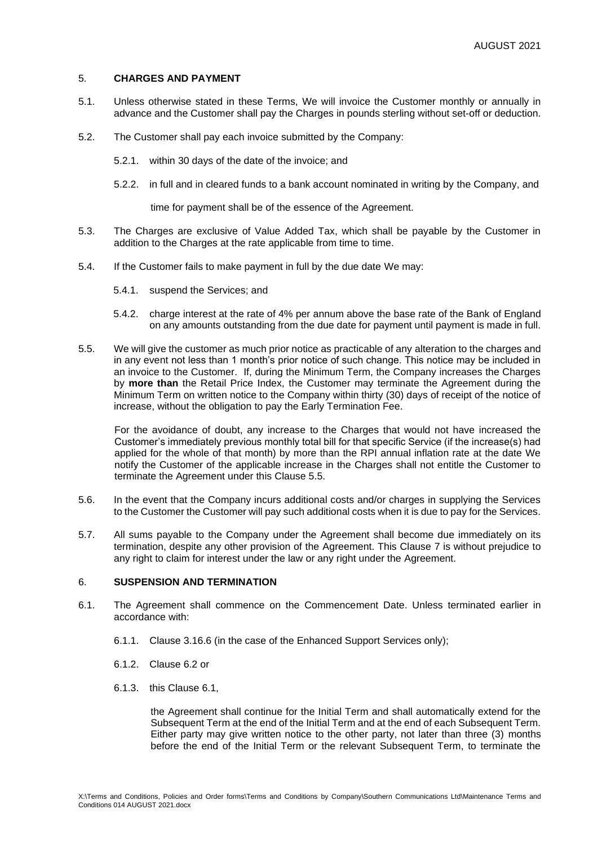# 5. **CHARGES AND PAYMENT**

- 5.1. Unless otherwise stated in these Terms, We will invoice the Customer monthly or annually in advance and the Customer shall pay the Charges in pounds sterling without set-off or deduction.
- 5.2. The Customer shall pay each invoice submitted by the Company:
	- 5.2.1. within 30 days of the date of the invoice; and
	- 5.2.2. in full and in cleared funds to a bank account nominated in writing by the Company, and

time for payment shall be of the essence of the Agreement.

- 5.3. The Charges are exclusive of Value Added Tax, which shall be payable by the Customer in addition to the Charges at the rate applicable from time to time.
- 5.4. If the Customer fails to make payment in full by the due date We may:
	- 5.4.1. suspend the Services; and
	- 5.4.2. charge interest at the rate of 4% per annum above the base rate of the Bank of England on any amounts outstanding from the due date for payment until payment is made in full.
- 5.5. We will give the customer as much prior notice as practicable of any alteration to the charges and in any event not less than 1 month's prior notice of such change. This notice may be included in an invoice to the Customer. If, during the Minimum Term, the Company increases the Charges by **more than** the Retail Price Index, the Customer may terminate the Agreement during the Minimum Term on written notice to the Company within thirty (30) days of receipt of the notice of increase, without the obligation to pay the Early Termination Fee.

For the avoidance of doubt, any increase to the Charges that would not have increased the Customer's immediately previous monthly total bill for that specific Service (if the increase(s) had applied for the whole of that month) by more than the RPI annual inflation rate at the date We notify the Customer of the applicable increase in the Charges shall not entitle the Customer to terminate the Agreement under this Clause 5.5.

- 5.6. In the event that the Company incurs additional costs and/or charges in supplying the Services to the Customer the Customer will pay such additional costs when it is due to pay for the Services.
- 5.7. All sums payable to the Company under the Agreement shall become due immediately on its termination, despite any other provision of the Agreement. This Clause 7 is without prejudice to any right to claim for interest under the law or any right under the Agreement.

## 6. **SUSPENSION AND TERMINATION**

- 6.1. The Agreement shall commence on the Commencement Date. Unless terminated earlier in accordance with:
	- 6.1.1. Clause 3.16.6 (in the case of the Enhanced Support Services only);
	- 6.1.2. Clause 6.2 or
	- 6.1.3. this Clause 6.1,

the Agreement shall continue for the Initial Term and shall automatically extend for the Subsequent Term at the end of the Initial Term and at the end of each Subsequent Term. Either party may give written notice to the other party, not later than three (3) months before the end of the Initial Term or the relevant Subsequent Term, to terminate the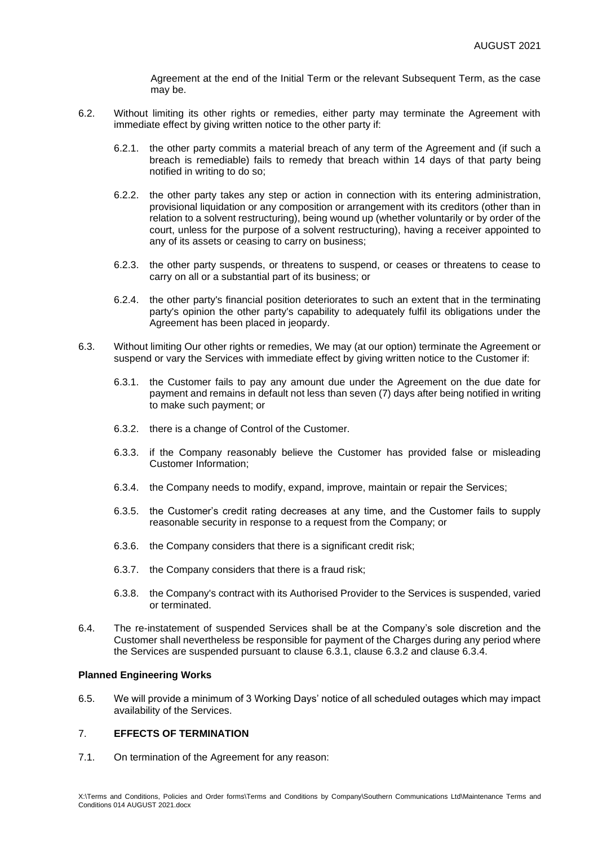Agreement at the end of the Initial Term or the relevant Subsequent Term, as the case may be.

- 6.2. Without limiting its other rights or remedies, either party may terminate the Agreement with immediate effect by giving written notice to the other party if:
	- 6.2.1. the other party commits a material breach of any term of the Agreement and (if such a breach is remediable) fails to remedy that breach within 14 days of that party being notified in writing to do so;
	- 6.2.2. the other party takes any step or action in connection with its entering administration, provisional liquidation or any composition or arrangement with its creditors (other than in relation to a solvent restructuring), being wound up (whether voluntarily or by order of the court, unless for the purpose of a solvent restructuring), having a receiver appointed to any of its assets or ceasing to carry on business;
	- 6.2.3. the other party suspends, or threatens to suspend, or ceases or threatens to cease to carry on all or a substantial part of its business; or
	- 6.2.4. the other party's financial position deteriorates to such an extent that in the terminating party's opinion the other party's capability to adequately fulfil its obligations under the Agreement has been placed in jeopardy.
- 6.3. Without limiting Our other rights or remedies, We may (at our option) terminate the Agreement or suspend or vary the Services with immediate effect by giving written notice to the Customer if:
	- 6.3.1. the Customer fails to pay any amount due under the Agreement on the due date for payment and remains in default not less than seven (7) days after being notified in writing to make such payment; or
	- 6.3.2. there is a change of Control of the Customer.
	- 6.3.3. if the Company reasonably believe the Customer has provided false or misleading Customer Information;
	- 6.3.4. the Company needs to modify, expand, improve, maintain or repair the Services;
	- 6.3.5. the Customer's credit rating decreases at any time, and the Customer fails to supply reasonable security in response to a request from the Company; or
	- 6.3.6. the Company considers that there is a significant credit risk;
	- 6.3.7. the Company considers that there is a fraud risk;
	- 6.3.8. the Company's contract with its Authorised Provider to the Services is suspended, varied or terminated.
- 6.4. The re-instatement of suspended Services shall be at the Company's sole discretion and the Customer shall nevertheless be responsible for payment of the Charges during any period where the Services are suspended pursuant to clause 6.3.1, clause 6.3.2 and clause 6.3.4.

## **Planned Engineering Works**

6.5. We will provide a minimum of 3 Working Days' notice of all scheduled outages which may impact availability of the Services.

# 7. **EFFECTS OF TERMINATION**

7.1. On termination of the Agreement for any reason: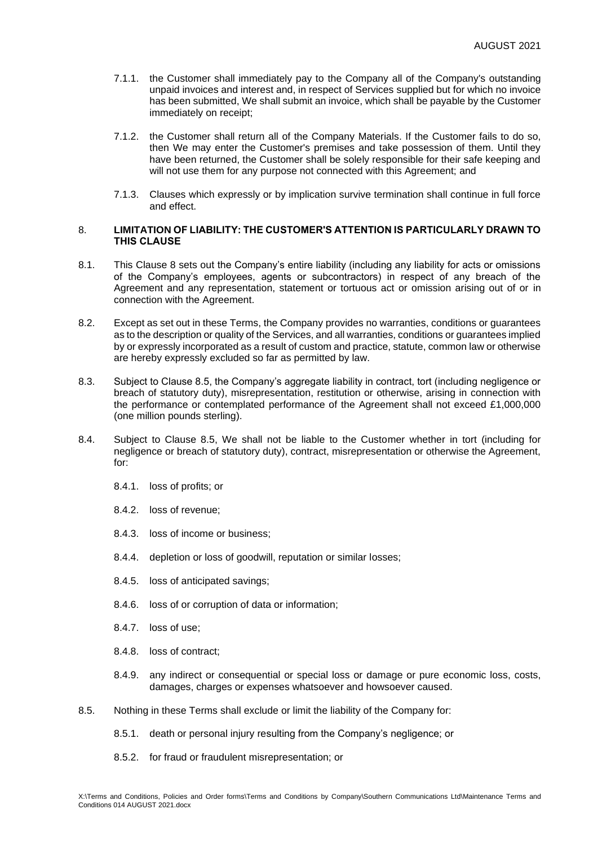- 7.1.1. the Customer shall immediately pay to the Company all of the Company's outstanding unpaid invoices and interest and, in respect of Services supplied but for which no invoice has been submitted, We shall submit an invoice, which shall be payable by the Customer immediately on receipt;
- 7.1.2. the Customer shall return all of the Company Materials. If the Customer fails to do so, then We may enter the Customer's premises and take possession of them. Until they have been returned, the Customer shall be solely responsible for their safe keeping and will not use them for any purpose not connected with this Agreement; and
- 7.1.3. Clauses which expressly or by implication survive termination shall continue in full force and effect.

## 8. **LIMITATION OF LIABILITY: THE CUSTOMER'S ATTENTION IS PARTICULARLY DRAWN TO THIS CLAUSE**

- 8.1. This Clause 8 sets out the Company's entire liability (including any liability for acts or omissions of the Company's employees, agents or subcontractors) in respect of any breach of the Agreement and any representation, statement or tortuous act or omission arising out of or in connection with the Agreement.
- 8.2. Except as set out in these Terms, the Company provides no warranties, conditions or guarantees as to the description or quality of the Services, and all warranties, conditions or guarantees implied by or expressly incorporated as a result of custom and practice, statute, common law or otherwise are hereby expressly excluded so far as permitted by law.
- 8.3. Subject to Clause 8.5, the Company's aggregate liability in contract, tort (including negligence or breach of statutory duty), misrepresentation, restitution or otherwise, arising in connection with the performance or contemplated performance of the Agreement shall not exceed £1,000,000 (one million pounds sterling).
- 8.4. Subject to Clause 8.5, We shall not be liable to the Customer whether in tort (including for negligence or breach of statutory duty), contract, misrepresentation or otherwise the Agreement, for:
	- 8.4.1. loss of profits; or
	- 8.4.2. loss of revenue;
	- 8.4.3. loss of income or business;
	- 8.4.4. depletion or loss of goodwill, reputation or similar losses;
	- 8.4.5. loss of anticipated savings;
	- 8.4.6. loss of or corruption of data or information;
	- 8.4.7. loss of use;
	- 8.4.8. loss of contract;
	- 8.4.9. any indirect or consequential or special loss or damage or pure economic loss, costs, damages, charges or expenses whatsoever and howsoever caused.
- 8.5. Nothing in these Terms shall exclude or limit the liability of the Company for:
	- 8.5.1. death or personal injury resulting from the Company's negligence; or
	- 8.5.2. for fraud or fraudulent misrepresentation; or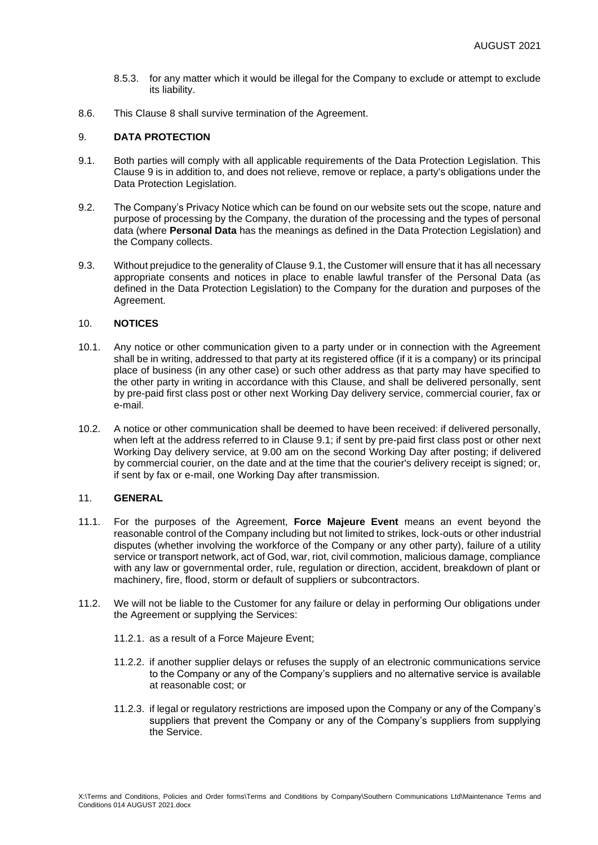- 8.5.3. for any matter which it would be illegal for the Company to exclude or attempt to exclude its liability.
- 8.6. This Clause 8 shall survive termination of the Agreement.

# 9. **DATA PROTECTION**

- <span id="page-12-0"></span>9.1. Both parties will comply with all applicable requirements of the Data Protection Legislation. This Clause 9 is in addition to, and does not relieve, remove or replace, a party's obligations under the Data Protection Legislation.
- 9.2. The Company's Privacy Notice which can be found on our website sets out the scope, nature and purpose of processing by the Company, the duration of the processing and the types of personal data (where **Personal Data** has the meanings as defined in the Data Protection Legislation) and the Company collects.
- 9.3. Without prejudice to the generality of Clause [9.1,](#page-12-0) the Customer will ensure that it has all necessary appropriate consents and notices in place to enable lawful transfer of the Personal Data (as defined in the Data Protection Legislation) to the Company for the duration and purposes of the Agreement.

## 10. **NOTICES**

- 10.1. Any notice or other communication given to a party under or in connection with the Agreement shall be in writing, addressed to that party at its registered office (if it is a company) or its principal place of business (in any other case) or such other address as that party may have specified to the other party in writing in accordance with this Clause, and shall be delivered personally, sent by pre-paid first class post or other next Working Day delivery service, commercial courier, fax or e-mail.
- 10.2. A notice or other communication shall be deemed to have been received: if delivered personally, when left at the address referred to in Clause 9.1; if sent by pre-paid first class post or other next Working Day delivery service, at 9.00 am on the second Working Day after posting; if delivered by commercial courier, on the date and at the time that the courier's delivery receipt is signed; or, if sent by fax or e-mail, one Working Day after transmission.

#### 11. **GENERAL**

- <span id="page-12-1"></span>11.1. For the purposes of the Agreement, **Force Majeure Event** means an event beyond the reasonable control of the Company including but not limited to strikes, lock-outs or other industrial disputes (whether involving the workforce of the Company or any other party), failure of a utility service or transport network, act of God, war, riot, civil commotion, malicious damage, compliance with any law or governmental order, rule, regulation or direction, accident, breakdown of plant or machinery, fire, flood, storm or default of suppliers or subcontractors.
- 11.2. We will not be liable to the Customer for any failure or delay in performing Our obligations under the Agreement or supplying the Services:
	- 11.2.1. as a result of a Force Majeure Event;
	- 11.2.2. if another supplier delays or refuses the supply of an electronic communications service to the Company or any of the Company's suppliers and no alternative service is available at reasonable cost; or
	- 11.2.3. if legal or regulatory restrictions are imposed upon the Company or any of the Company's suppliers that prevent the Company or any of the Company's suppliers from supplying the Service.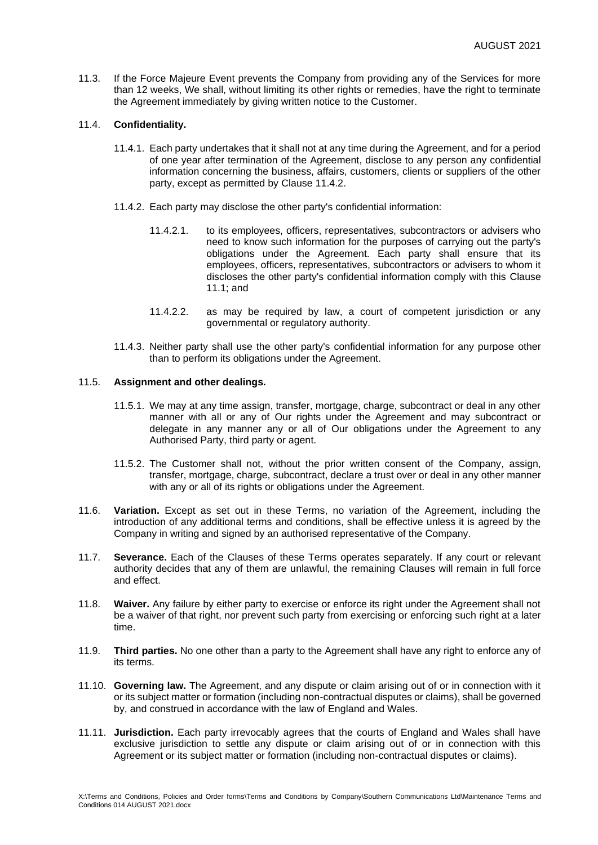11.3. If the Force Majeure Event prevents the Company from providing any of the Services for more than 12 weeks, We shall, without limiting its other rights or remedies, have the right to terminate the Agreement immediately by giving written notice to the Customer.

## 11.4. **Confidentiality.**

- 11.4.1. Each party undertakes that it shall not at any time during the Agreement, and for a period of one year after termination of the Agreement, disclose to any person any confidential information concerning the business, affairs, customers, clients or suppliers of the other party, except as permitted by Clause [11.4.2.](#page-13-0)
- <span id="page-13-0"></span>11.4.2. Each party may disclose the other party's confidential information:
	- 11.4.2.1. to its employees, officers, representatives, subcontractors or advisers who need to know such information for the purposes of carrying out the party's obligations under the Agreement. Each party shall ensure that its employees, officers, representatives, subcontractors or advisers to whom it discloses the other party's confidential information comply with this Clause [11.1;](#page-12-1) and
	- 11.4.2.2. as may be required by law, a court of competent jurisdiction or any governmental or regulatory authority.
- 11.4.3. Neither party shall use the other party's confidential information for any purpose other than to perform its obligations under the Agreement.

## 11.5. **Assignment and other dealings.**

- 11.5.1. We may at any time assign, transfer, mortgage, charge, subcontract or deal in any other manner with all or any of Our rights under the Agreement and may subcontract or delegate in any manner any or all of Our obligations under the Agreement to any Authorised Party, third party or agent.
- 11.5.2. The Customer shall not, without the prior written consent of the Company, assign, transfer, mortgage, charge, subcontract, declare a trust over or deal in any other manner with any or all of its rights or obligations under the Agreement.
- 11.6. **Variation.** Except as set out in these Terms, no variation of the Agreement, including the introduction of any additional terms and conditions, shall be effective unless it is agreed by the Company in writing and signed by an authorised representative of the Company.
- 11.7. **Severance.** Each of the Clauses of these Terms operates separately. If any court or relevant authority decides that any of them are unlawful, the remaining Clauses will remain in full force and effect.
- 11.8. **Waiver.** Any failure by either party to exercise or enforce its right under the Agreement shall not be a waiver of that right, nor prevent such party from exercising or enforcing such right at a later time.
- 11.9. **Third parties.** No one other than a party to the Agreement shall have any right to enforce any of its terms.
- 11.10. **Governing law.** The Agreement, and any dispute or claim arising out of or in connection with it or its subject matter or formation (including non-contractual disputes or claims), shall be governed by, and construed in accordance with the law of England and Wales.
- 11.11. **Jurisdiction.** Each party irrevocably agrees that the courts of England and Wales shall have exclusive jurisdiction to settle any dispute or claim arising out of or in connection with this Agreement or its subject matter or formation (including non-contractual disputes or claims).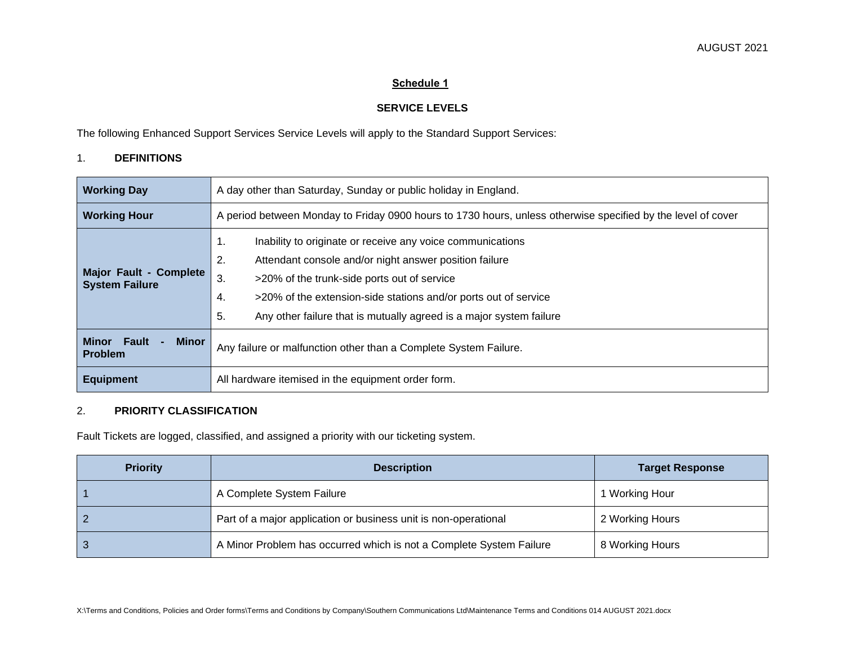# **Schedule 1**

# **SERVICE LEVELS**

The following Enhanced Support Services Service Levels will apply to the Standard Support Services:

# 1. **DEFINITIONS**

| <b>Working Day</b>                               | A day other than Saturday, Sunday or public holiday in England.                                                                                                                                                                                                                                                                             |  |
|--------------------------------------------------|---------------------------------------------------------------------------------------------------------------------------------------------------------------------------------------------------------------------------------------------------------------------------------------------------------------------------------------------|--|
| <b>Working Hour</b>                              | A period between Monday to Friday 0900 hours to 1730 hours, unless otherwise specified by the level of cover                                                                                                                                                                                                                                |  |
| Major Fault - Complete<br><b>System Failure</b>  | Inability to originate or receive any voice communications<br>1.<br>2.<br>Attendant console and/or night answer position failure<br>3.<br>>20% of the trunk-side ports out of service<br>>20% of the extension-side stations and/or ports out of service<br>4.<br>5.<br>Any other failure that is mutually agreed is a major system failure |  |
| Minor<br>Fault<br><b>Minor</b><br><b>Problem</b> | Any failure or malfunction other than a Complete System Failure.                                                                                                                                                                                                                                                                            |  |
| <b>Equipment</b>                                 | All hardware itemised in the equipment order form.                                                                                                                                                                                                                                                                                          |  |

# 2. **PRIORITY CLASSIFICATION**

Fault Tickets are logged, classified, and assigned a priority with our ticketing system.

| <b>Priority</b> | <b>Description</b>                                                  | <b>Target Response</b> |
|-----------------|---------------------------------------------------------------------|------------------------|
|                 | A Complete System Failure                                           | 1 Working Hour         |
|                 | Part of a major application or business unit is non-operational     | 2 Working Hours        |
|                 | A Minor Problem has occurred which is not a Complete System Failure | 8 Working Hours        |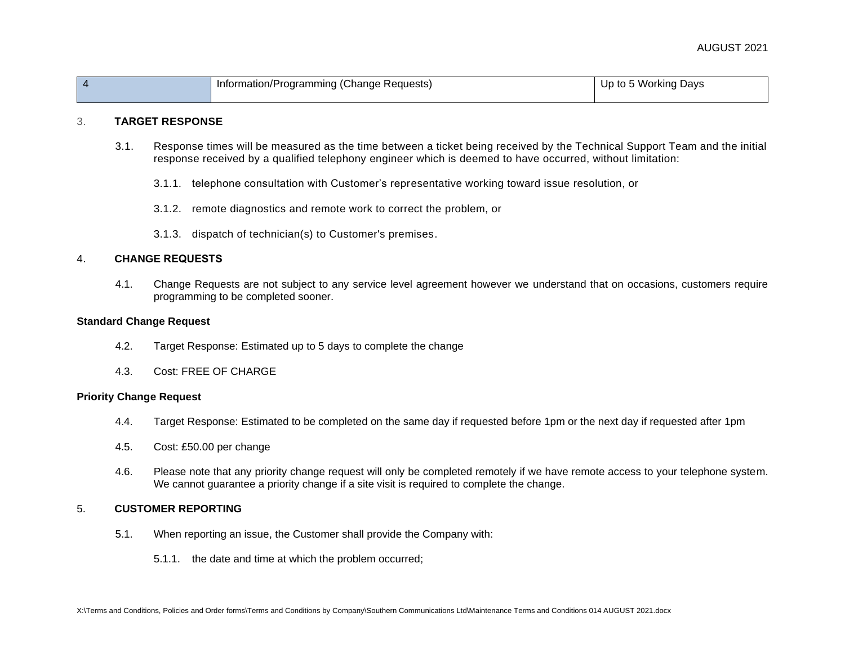### AUGUST 2021

|  | ' hangeٽ,<br>` Requests,<br>.oqramming <i>i'</i><br><b>Inform</b><br>.nation/P<br>$\cdot$ | Davs<br>Ur<br>Working<br>tΛ<br>. .<br>$\cdot$ |
|--|-------------------------------------------------------------------------------------------|-----------------------------------------------|
|  |                                                                                           |                                               |

### 3. **TARGET RESPONSE**

- 3.1. Response times will be measured as the time between a ticket being received by the Technical Support Team and the initial response received by a qualified telephony engineer which is deemed to have occurred, without limitation:
	- 3.1.1. telephone consultation with Customer's representative working toward issue resolution, or
	- 3.1.2. remote diagnostics and remote work to correct the problem, or
	- 3.1.3. dispatch of technician(s) to Customer's premises.

### 4. **CHANGE REQUESTS**

4.1. Change Requests are not subject to any service level agreement however we understand that on occasions, customers require programming to be completed sooner.

#### **Standard Change Request**

- 4.2. Target Response: Estimated up to 5 days to complete the change
- 4.3. Cost: FREE OF CHARGE

### **Priority Change Request**

- 4.4. Target Response: Estimated to be completed on the same day if requested before 1pm or the next day if requested after 1pm
- 4.5. Cost: £50.00 per change
- 4.6. Please note that any priority change request will only be completed remotely if we have remote access to your telephone system. We cannot guarantee a priority change if a site visit is required to complete the change.

#### 5. **CUSTOMER REPORTING**

- 5.1. When reporting an issue, the Customer shall provide the Company with:
	- 5.1.1. the date and time at which the problem occurred;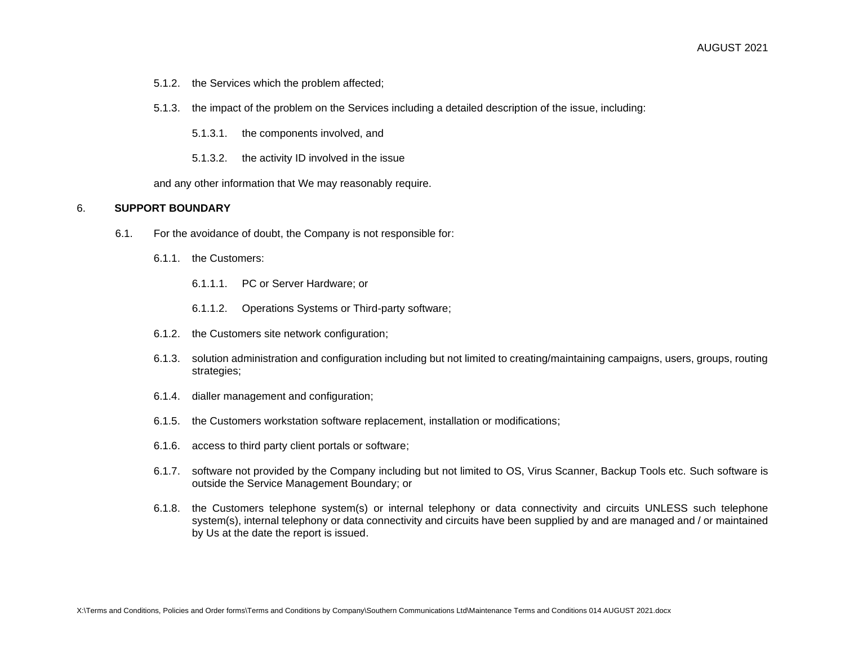- 5.1.2. the Services which the problem affected;
- 5.1.3. the impact of the problem on the Services including a detailed description of the issue, including:
	- 5.1.3.1. the components involved, and
	- 5.1.3.2. the activity ID involved in the issue

and any other information that We may reasonably require.

#### 6. **SUPPORT BOUNDARY**

- 6.1. For the avoidance of doubt, the Company is not responsible for:
	- 6.1.1. the Customers:
		- 6.1.1.1. PC or Server Hardware; or
		- 6.1.1.2. Operations Systems or Third-party software;
	- 6.1.2. the Customers site network configuration;
	- 6.1.3. solution administration and configuration including but not limited to creating/maintaining campaigns, users, groups, routing strategies;
	- 6.1.4. dialler management and configuration;
	- 6.1.5. the Customers workstation software replacement, installation or modifications;
	- 6.1.6. access to third party client portals or software;
	- 6.1.7. software not provided by the Company including but not limited to OS, Virus Scanner, Backup Tools etc. Such software is outside the Service Management Boundary; or
	- 6.1.8. the Customers telephone system(s) or internal telephony or data connectivity and circuits UNLESS such telephone system(s), internal telephony or data connectivity and circuits have been supplied by and are managed and / or maintained by Us at the date the report is issued.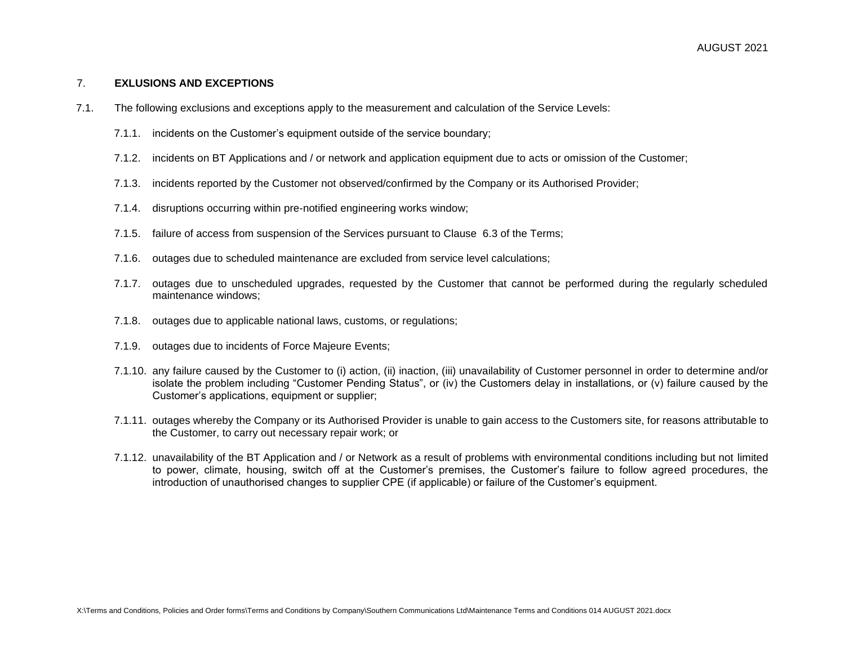### 7. **EXLUSIONS AND EXCEPTIONS**

- 7.1. The following exclusions and exceptions apply to the measurement and calculation of the Service Levels:
	- 7.1.1. incidents on the Customer's equipment outside of the service boundary;
	- 7.1.2. incidents on BT Applications and / or network and application equipment due to acts or omission of the Customer;
	- 7.1.3. incidents reported by the Customer not observed/confirmed by the Company or its Authorised Provider;
	- 7.1.4. disruptions occurring within pre-notified engineering works window;
	- 7.1.5. failure of access from suspension of the Services pursuant to Clause 6.3 of the Terms;
	- 7.1.6. outages due to scheduled maintenance are excluded from service level calculations;
	- 7.1.7. outages due to unscheduled upgrades, requested by the Customer that cannot be performed during the regularly scheduled maintenance windows;
	- 7.1.8. outages due to applicable national laws, customs, or regulations;
	- 7.1.9. outages due to incidents of Force Majeure Events;
	- 7.1.10. any failure caused by the Customer to (i) action, (ii) inaction, (iii) unavailability of Customer personnel in order to determine and/or isolate the problem including "Customer Pending Status", or (iv) the Customers delay in installations, or (v) failure caused by the Customer's applications, equipment or supplier;
	- 7.1.11. outages whereby the Company or its Authorised Provider is unable to gain access to the Customers site, for reasons attributable to the Customer, to carry out necessary repair work; or
	- 7.1.12. unavailability of the BT Application and / or Network as a result of problems with environmental conditions including but not limited to power, climate, housing, switch off at the Customer's premises, the Customer's failure to follow agreed procedures, the introduction of unauthorised changes to supplier CPE (if applicable) or failure of the Customer's equipment.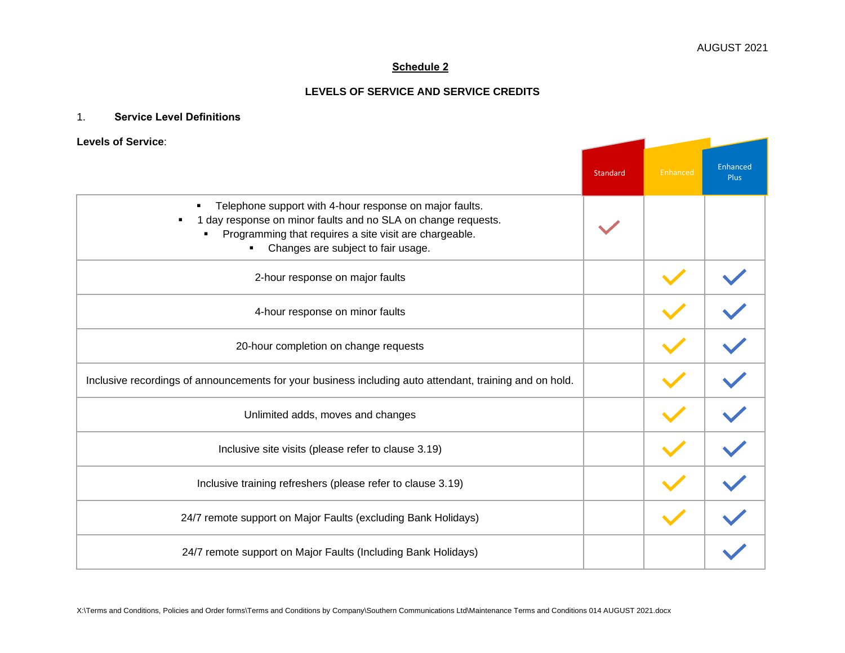$\sim$  10  $\pm$ 

╼

# **Schedule 2**

# **LEVELS OF SERVICE AND SERVICE CREDITS**

# 1. **Service Level Definitions**

### **Levels of Service**:

|                                                                                                                                                                                                                                            | Standard | Enhanced | Enhanced<br><b>Plus</b> |
|--------------------------------------------------------------------------------------------------------------------------------------------------------------------------------------------------------------------------------------------|----------|----------|-------------------------|
| Telephone support with 4-hour response on major faults.<br>$\blacksquare$<br>1 day response on minor faults and no SLA on change requests.<br>Programming that requires a site visit are chargeable.<br>Changes are subject to fair usage. |          |          |                         |
| 2-hour response on major faults                                                                                                                                                                                                            |          |          |                         |
| 4-hour response on minor faults                                                                                                                                                                                                            |          |          |                         |
| 20-hour completion on change requests                                                                                                                                                                                                      |          |          |                         |
| Inclusive recordings of announcements for your business including auto attendant, training and on hold.                                                                                                                                    |          |          |                         |
| Unlimited adds, moves and changes                                                                                                                                                                                                          |          |          |                         |
| Inclusive site visits (please refer to clause 3.19)                                                                                                                                                                                        |          |          |                         |
| Inclusive training refreshers (please refer to clause 3.19)                                                                                                                                                                                |          |          |                         |
| 24/7 remote support on Major Faults (excluding Bank Holidays)                                                                                                                                                                              |          |          |                         |
| 24/7 remote support on Major Faults (Including Bank Holidays)                                                                                                                                                                              |          |          |                         |